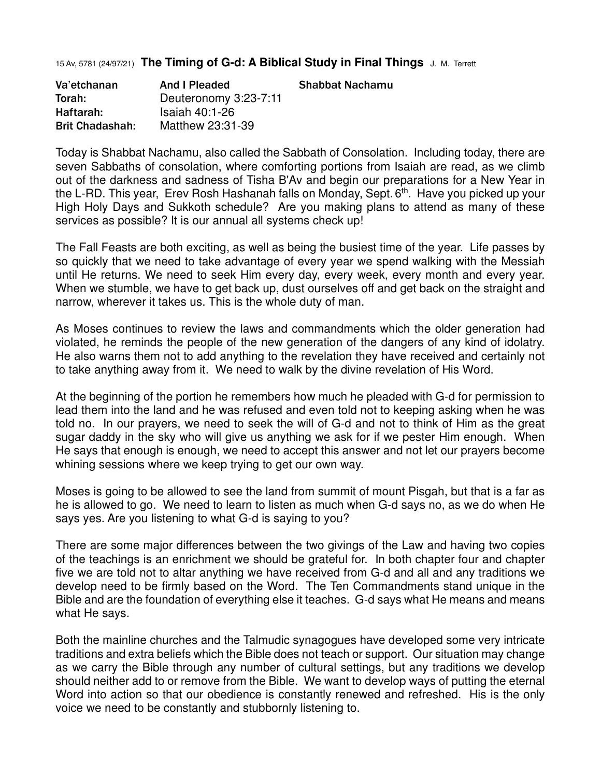15 Av, 5781 (24/97/21) **The Timing of G-d: A Biblical Study in Final Things** J. M. Terrett

| Va'etchanan            | And I Pleaded         | <b>Shabbat Nachamu</b> |
|------------------------|-----------------------|------------------------|
| Torah:                 | Deuteronomy 3:23-7:11 |                        |
| Haftarah:              | <b>Isaiah 40:1-26</b> |                        |
| <b>Brit Chadashah:</b> | Matthew 23:31-39      |                        |

Today is Shabbat Nachamu, also called the Sabbath of Consolation. Including today, there are seven Sabbaths of consolation, where comforting portions from Isaiah are read, as we climb out of the darkness and sadness of Tisha B'Av and begin our preparations for a New Year in the L-RD. This year, Erev Rosh Hashanah falls on Monday, Sept. 6<sup>th</sup>. Have you picked up your High Holy Days and Sukkoth schedule? Are you making plans to attend as many of these services as possible? It is our annual all systems check up!

The Fall Feasts are both exciting, as well as being the busiest time of the year. Life passes by so quickly that we need to take advantage of every year we spend walking with the Messiah until He returns. We need to seek Him every day, every week, every month and every year. When we stumble, we have to get back up, dust ourselves off and get back on the straight and narrow, wherever it takes us. This is the whole duty of man.

As Moses continues to review the laws and commandments which the older generation had violated, he reminds the people of the new generation of the dangers of any kind of idolatry. He also warns them not to add anything to the revelation they have received and certainly not to take anything away from it. We need to walk by the divine revelation of His Word.

At the beginning of the portion he remembers how much he pleaded with G-d for permission to lead them into the land and he was refused and even told not to keeping asking when he was told no. In our prayers, we need to seek the will of G-d and not to think of Him as the great sugar daddy in the sky who will give us anything we ask for if we pester Him enough. When He says that enough is enough, we need to accept this answer and not let our prayers become whining sessions where we keep trying to get our own way.

Moses is going to be allowed to see the land from summit of mount Pisgah, but that is a far as he is allowed to go. We need to learn to listen as much when G-d says no, as we do when He says yes. Are you listening to what G-d is saying to you?

There are some major differences between the two givings of the Law and having two copies of the teachings is an enrichment we should be grateful for. In both chapter four and chapter five we are told not to altar anything we have received from G-d and all and any traditions we develop need to be firmly based on the Word. The Ten Commandments stand unique in the Bible and are the foundation of everything else it teaches. G-d says what He means and means what He says.

Both the mainline churches and the Talmudic synagogues have developed some very intricate traditions and extra beliefs which the Bible does not teach or support. Our situation may change as we carry the Bible through any number of cultural settings, but any traditions we develop should neither add to or remove from the Bible. We want to develop ways of putting the eternal Word into action so that our obedience is constantly renewed and refreshed. His is the only voice we need to be constantly and stubbornly listening to.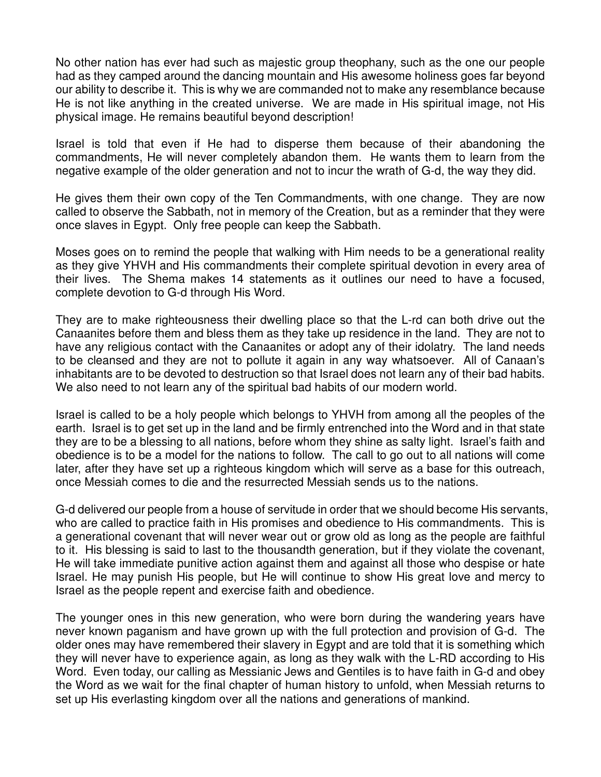No other nation has ever had such as majestic group theophany, such as the one our people had as they camped around the dancing mountain and His awesome holiness goes far beyond our ability to describe it. This is why we are commanded not to make any resemblance because He is not like anything in the created universe. We are made in His spiritual image, not His physical image. He remains beautiful beyond description!

Israel is told that even if He had to disperse them because of their abandoning the commandments, He will never completely abandon them. He wants them to learn from the negative example of the older generation and not to incur the wrath of G-d, the way they did.

He gives them their own copy of the Ten Commandments, with one change. They are now called to observe the Sabbath, not in memory of the Creation, but as a reminder that they were once slaves in Egypt. Only free people can keep the Sabbath.

Moses goes on to remind the people that walking with Him needs to be a generational reality as they give YHVH and His commandments their complete spiritual devotion in every area of their lives. The Shema makes 14 statements as it outlines our need to have a focused, complete devotion to G-d through His Word.

They are to make righteousness their dwelling place so that the L-rd can both drive out the Canaanites before them and bless them as they take up residence in the land. They are not to have any religious contact with the Canaanites or adopt any of their idolatry. The land needs to be cleansed and they are not to pollute it again in any way whatsoever. All of Canaan's inhabitants are to be devoted to destruction so that Israel does not learn any of their bad habits. We also need to not learn any of the spiritual bad habits of our modern world.

Israel is called to be a holy people which belongs to YHVH from among all the peoples of the earth. Israel is to get set up in the land and be firmly entrenched into the Word and in that state they are to be a blessing to all nations, before whom they shine as salty light. Israel's faith and obedience is to be a model for the nations to follow. The call to go out to all nations will come later, after they have set up a righteous kingdom which will serve as a base for this outreach, once Messiah comes to die and the resurrected Messiah sends us to the nations.

G-d delivered our people from a house of servitude in order that we should become His servants, who are called to practice faith in His promises and obedience to His commandments. This is a generational covenant that will never wear out or grow old as long as the people are faithful to it. His blessing is said to last to the thousandth generation, but if they violate the covenant, He will take immediate punitive action against them and against all those who despise or hate Israel. He may punish His people, but He will continue to show His great love and mercy to Israel as the people repent and exercise faith and obedience.

The younger ones in this new generation, who were born during the wandering years have never known paganism and have grown up with the full protection and provision of G-d. The older ones may have remembered their slavery in Egypt and are told that it is something which they will never have to experience again, as long as they walk with the L-RD according to His Word. Even today, our calling as Messianic Jews and Gentiles is to have faith in G-d and obey the Word as we wait for the final chapter of human history to unfold, when Messiah returns to set up His everlasting kingdom over all the nations and generations of mankind.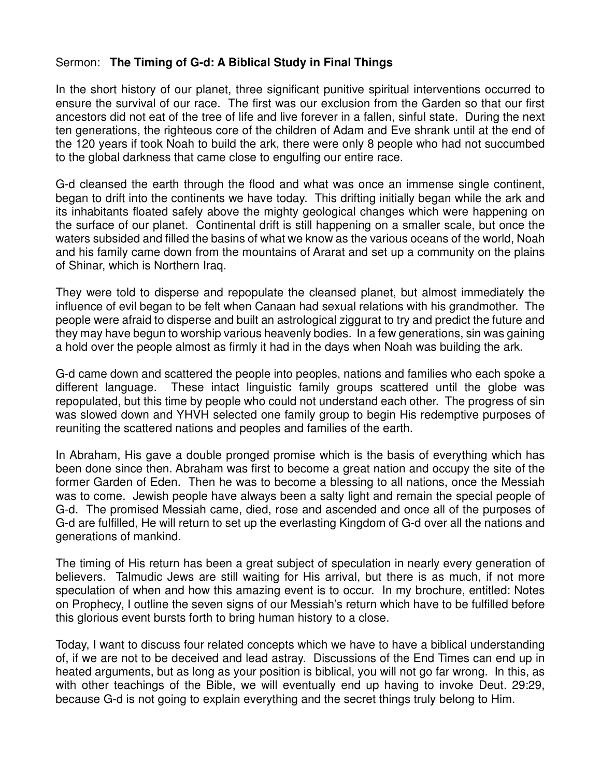## Sermon: **The Timing of G-d: A Biblical Study in Final Things**

In the short history of our planet, three significant punitive spiritual interventions occurred to ensure the survival of our race. The first was our exclusion from the Garden so that our first ancestors did not eat of the tree of life and live forever in a fallen, sinful state. During the next ten generations, the righteous core of the children of Adam and Eve shrank until at the end of the 120 years if took Noah to build the ark, there were only 8 people who had not succumbed to the global darkness that came close to engulfing our entire race.

G-d cleansed the earth through the flood and what was once an immense single continent, began to drift into the continents we have today. This drifting initially began while the ark and its inhabitants floated safely above the mighty geological changes which were happening on the surface of our planet. Continental drift is still happening on a smaller scale, but once the waters subsided and filled the basins of what we know as the various oceans of the world, Noah and his family came down from the mountains of Ararat and set up a community on the plains of Shinar, which is Northern Iraq.

They were told to disperse and repopulate the cleansed planet, but almost immediately the influence of evil began to be felt when Canaan had sexual relations with his grandmother. The people were afraid to disperse and built an astrological ziggurat to try and predict the future and they may have begun to worship various heavenly bodies. In a few generations, sin was gaining a hold over the people almost as firmly it had in the days when Noah was building the ark.

G-d came down and scattered the people into peoples, nations and families who each spoke a different language. These intact linguistic family groups scattered until the globe was repopulated, but this time by people who could not understand each other. The progress of sin was slowed down and YHVH selected one family group to begin His redemptive purposes of reuniting the scattered nations and peoples and families of the earth.

In Abraham, His gave a double pronged promise which is the basis of everything which has been done since then. Abraham was first to become a great nation and occupy the site of the former Garden of Eden. Then he was to become a blessing to all nations, once the Messiah was to come. Jewish people have always been a salty light and remain the special people of G-d. The promised Messiah came, died, rose and ascended and once all of the purposes of G-d are fulfilled, He will return to set up the everlasting Kingdom of G-d over all the nations and generations of mankind.

The timing of His return has been a great subject of speculation in nearly every generation of believers. Talmudic Jews are still waiting for His arrival, but there is as much, if not more speculation of when and how this amazing event is to occur. In my brochure, entitled: Notes on Prophecy, I outline the seven signs of our Messiah's return which have to be fulfilled before this glorious event bursts forth to bring human history to a close.

Today, I want to discuss four related concepts which we have to have a biblical understanding of, if we are not to be deceived and lead astray. Discussions of the End Times can end up in heated arguments, but as long as your position is biblical, you will not go far wrong. In this, as with other teachings of the Bible, we will eventually end up having to invoke Deut. 29:29, because G-d is not going to explain everything and the secret things truly belong to Him.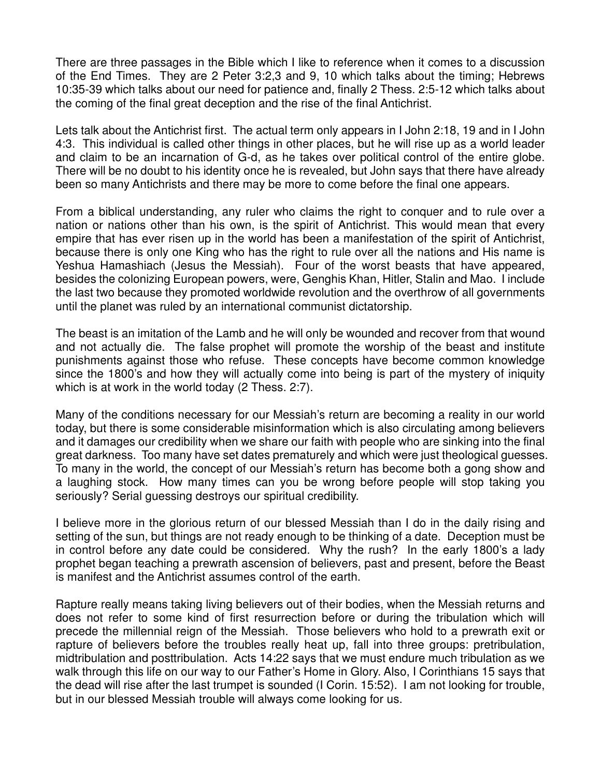There are three passages in the Bible which I like to reference when it comes to a discussion of the End Times. They are 2 Peter 3:2,3 and 9, 10 which talks about the timing; Hebrews 10:35-39 which talks about our need for patience and, finally 2 Thess. 2:5-12 which talks about the coming of the final great deception and the rise of the final Antichrist.

Lets talk about the Antichrist first. The actual term only appears in I John 2:18, 19 and in I John 4:3. This individual is called other things in other places, but he will rise up as a world leader and claim to be an incarnation of G-d, as he takes over political control of the entire globe. There will be no doubt to his identity once he is revealed, but John says that there have already been so many Antichrists and there may be more to come before the final one appears.

From a biblical understanding, any ruler who claims the right to conquer and to rule over a nation or nations other than his own, is the spirit of Antichrist. This would mean that every empire that has ever risen up in the world has been a manifestation of the spirit of Antichrist, because there is only one King who has the right to rule over all the nations and His name is Yeshua Hamashiach (Jesus the Messiah). Four of the worst beasts that have appeared, besides the colonizing European powers, were, Genghis Khan, Hitler, Stalin and Mao. I include the last two because they promoted worldwide revolution and the overthrow of all governments until the planet was ruled by an international communist dictatorship.

The beast is an imitation of the Lamb and he will only be wounded and recover from that wound and not actually die. The false prophet will promote the worship of the beast and institute punishments against those who refuse. These concepts have become common knowledge since the 1800's and how they will actually come into being is part of the mystery of iniquity which is at work in the world today (2 Thess. 2:7).

Many of the conditions necessary for our Messiah's return are becoming a reality in our world today, but there is some considerable misinformation which is also circulating among believers and it damages our credibility when we share our faith with people who are sinking into the final great darkness. Too many have set dates prematurely and which were just theological guesses. To many in the world, the concept of our Messiah's return has become both a gong show and a laughing stock. How many times can you be wrong before people will stop taking you seriously? Serial guessing destroys our spiritual credibility.

I believe more in the glorious return of our blessed Messiah than I do in the daily rising and setting of the sun, but things are not ready enough to be thinking of a date. Deception must be in control before any date could be considered. Why the rush? In the early 1800's a lady prophet began teaching a prewrath ascension of believers, past and present, before the Beast is manifest and the Antichrist assumes control of the earth.

Rapture really means taking living believers out of their bodies, when the Messiah returns and does not refer to some kind of first resurrection before or during the tribulation which will precede the millennial reign of the Messiah. Those believers who hold to a prewrath exit or rapture of believers before the troubles really heat up, fall into three groups: pretribulation, midtribulation and posttribulation. Acts 14:22 says that we must endure much tribulation as we walk through this life on our way to our Father's Home in Glory. Also, I Corinthians 15 says that the dead will rise after the last trumpet is sounded (I Corin. 15:52). I am not looking for trouble, but in our blessed Messiah trouble will always come looking for us.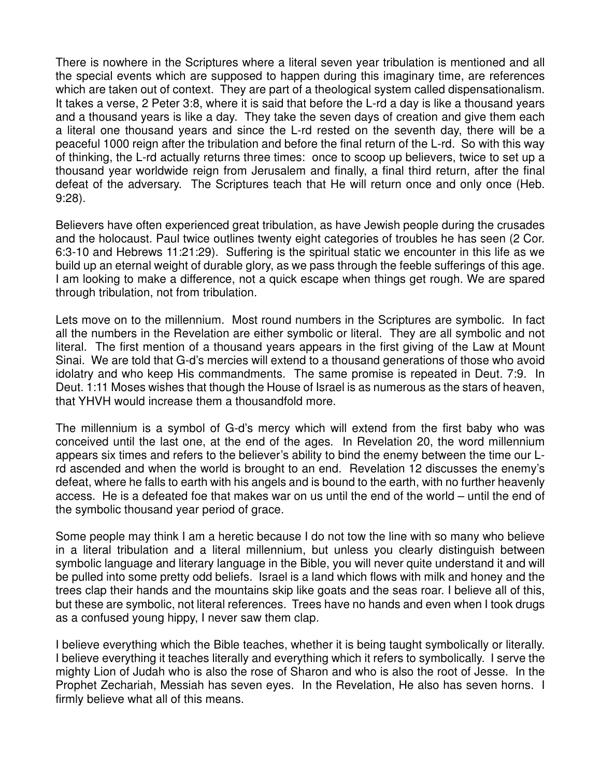There is nowhere in the Scriptures where a literal seven year tribulation is mentioned and all the special events which are supposed to happen during this imaginary time, are references which are taken out of context. They are part of a theological system called dispensationalism. It takes a verse, 2 Peter 3:8, where it is said that before the L-rd a day is like a thousand years and a thousand years is like a day. They take the seven days of creation and give them each a literal one thousand years and since the L-rd rested on the seventh day, there will be a peaceful 1000 reign after the tribulation and before the final return of the L-rd. So with this way of thinking, the L-rd actually returns three times: once to scoop up believers, twice to set up a thousand year worldwide reign from Jerusalem and finally, a final third return, after the final defeat of the adversary. The Scriptures teach that He will return once and only once (Heb. 9:28).

Believers have often experienced great tribulation, as have Jewish people during the crusades and the holocaust. Paul twice outlines twenty eight categories of troubles he has seen (2 Cor. 6:3-10 and Hebrews 11:21:29). Suffering is the spiritual static we encounter in this life as we build up an eternal weight of durable glory, as we pass through the feeble sufferings of this age. I am looking to make a difference, not a quick escape when things get rough. We are spared through tribulation, not from tribulation.

Lets move on to the millennium. Most round numbers in the Scriptures are symbolic. In fact all the numbers in the Revelation are either symbolic or literal. They are all symbolic and not literal. The first mention of a thousand years appears in the first giving of the Law at Mount Sinai. We are told that G-d's mercies will extend to a thousand generations of those who avoid idolatry and who keep His commandments. The same promise is repeated in Deut. 7:9. In Deut. 1:11 Moses wishes that though the House of Israel is as numerous as the stars of heaven, that YHVH would increase them a thousandfold more.

The millennium is a symbol of G-d's mercy which will extend from the first baby who was conceived until the last one, at the end of the ages. In Revelation 20, the word millennium appears six times and refers to the believer's ability to bind the enemy between the time our Lrd ascended and when the world is brought to an end. Revelation 12 discusses the enemy's defeat, where he falls to earth with his angels and is bound to the earth, with no further heavenly access. He is a defeated foe that makes war on us until the end of the world – until the end of the symbolic thousand year period of grace.

Some people may think I am a heretic because I do not tow the line with so many who believe in a literal tribulation and a literal millennium, but unless you clearly distinguish between symbolic language and literary language in the Bible, you will never quite understand it and will be pulled into some pretty odd beliefs. Israel is a land which flows with milk and honey and the trees clap their hands and the mountains skip like goats and the seas roar. I believe all of this, but these are symbolic, not literal references. Trees have no hands and even when I took drugs as a confused young hippy, I never saw them clap.

I believe everything which the Bible teaches, whether it is being taught symbolically or literally. I believe everything it teaches literally and everything which it refers to symbolically. I serve the mighty Lion of Judah who is also the rose of Sharon and who is also the root of Jesse. In the Prophet Zechariah, Messiah has seven eyes. In the Revelation, He also has seven horns. I firmly believe what all of this means.